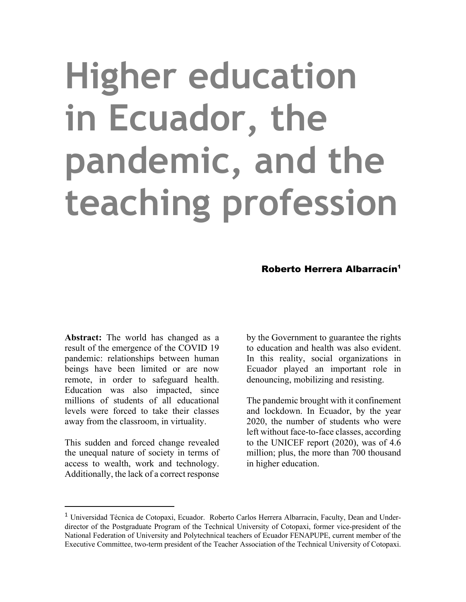# **Higher education in Ecuador, the pandemic, and the teaching profession**

### Roberto Herrera Albarracín<sup>1</sup>

**Abstract:** The world has changed as a result of the emergence of the COVID 19 pandemic: relationships between human beings have been limited or are now remote, in order to safeguard health. Education was also impacted, since millions of students of all educational levels were forced to take their classes away from the classroom, in virtuality.

This sudden and forced change revealed the unequal nature of society in terms of access to wealth, work and technology. Additionally, the lack of a correct response

by the Government to guarantee the rights to education and health was also evident. In this reality, social organizations in Ecuador played an important role in denouncing, mobilizing and resisting.

The pandemic brought with it confinement and lockdown. In Ecuador, by the year 2020, the number of students who were left without face-to-face classes, according to the UNICEF report (2020), was of 4.6 million; plus, the more than 700 thousand in higher education.

<sup>1</sup> Universidad Técnica de Cotopaxi, Ecuador. Roberto Carlos Herrera Albarracin, Faculty, Dean and Underdirector of the Postgraduate Program of the Technical University of Cotopaxi, former vice-president of the National Federation of University and Polytechnical teachers of Ecuador FENAPUPE, current member of the Executive Committee, two-term president of the Teacher Association of the Technical University of Cotopaxi.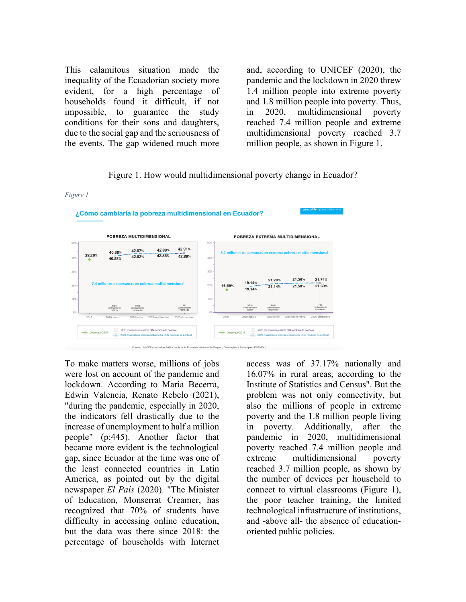This calamitous situation made the inequality of the Ecuadorian society more evident, for a high percentage of households found it difficult, if not impossible, to guarantee the study conditions for their sons and daughters, due to the social gap and the seriousness of the events. The gap widened much more

and, according to UNICEF (2020), the pandemic and the lockdown in 2020 threw 1.4 million people into extreme poverty and 1.8 million people into poverty. Thus, in 2020, multidimensional poverty reached 7.4 million people and extreme multidimensional poverty reached 3.7 million people, as shown in Figure 1.

#### Figure 1. How would multidimensional poverty change in Ecuador?

## *Figure 1*



To make matters worse, millions of jobs were lost on account of the pandemic and lockdown. According to Maria Becerra, Edwin Valencia, Renato Rebelo (2021), "during the pandemic, especially in 2020, the indicators fell drastically due to the increase of unemployment to half a million people" (p:445). Another factor that became more evident is the technological gap, since Ecuador at the time was one of the least connected countries in Latin America, as pointed out by the digital newspaper *El País* (2020). "The Minister of Education, Monserrat Creamer, has recognized that 70% of students have difficulty in accessing online education, but the data was there since 2018: the percentage of households with Internet

access was of 37.17% nationally and 16.07% in rural areas, according to the Institute of Statistics and Census". But the problem was not only connectivity, but also the millions of people in extreme poverty and the 1.8 million people living in poverty. Additionally, after the pandemic in 2020, multidimensional poverty reached 7.4 million people and extreme multidimensional poverty reached 3.7 million people, as shown by the number of devices per household to connect to virtual classrooms (Figure 1), the poor teacher training, the limited technological infrastructure of institutions, and -above all- the absence of educationoriented public policies.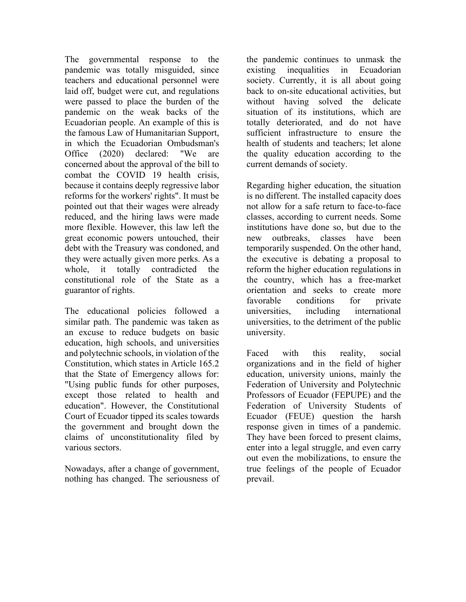The governmental response to the pandemic was totally misguided, since teachers and educational personnel were laid off, budget were cut, and regulations were passed to place the burden of the pandemic on the weak backs of the Ecuadorian people. An example of this is the famous Law of Humanitarian Support, in which the Ecuadorian Ombudsman's Office (2020) declared: "We are concerned about the approval of the bill to combat the COVID 19 health crisis, because it contains deeply regressive labor reforms for the workers' rights". It must be pointed out that their wages were already reduced, and the hiring laws were made more flexible. However, this law left the great economic powers untouched, their debt with the Treasury was condoned, and they were actually given more perks. As a whole, it totally contradicted the constitutional role of the State as a guarantor of rights.

The educational policies followed a similar path. The pandemic was taken as an excuse to reduce budgets on basic education, high schools, and universities and polytechnic schools, in violation of the Constitution, which states in Article 165.2 that the State of Emergency allows for: "Using public funds for other purposes, except those related to health and education". However, the Constitutional Court of Ecuador tipped its scales towards the government and brought down the claims of unconstitutionality filed by various sectors.

Nowadays, after a change of government, nothing has changed. The seriousness of the pandemic continues to unmask the existing inequalities in Ecuadorian society. Currently, it is all about going back to on-site educational activities, but without having solved the delicate situation of its institutions, which are totally deteriorated, and do not have sufficient infrastructure to ensure the health of students and teachers; let alone the quality education according to the current demands of society.

Regarding higher education, the situation is no different. The installed capacity does not allow for a safe return to face-to-face classes, according to current needs. Some institutions have done so, but due to the new outbreaks, classes have been temporarily suspended. On the other hand, the executive is debating a proposal to reform the higher education regulations in the country, which has a free-market orientation and seeks to create more favorable conditions for private universities, including international universities, to the detriment of the public university.

Faced with this reality, social organizations and in the field of higher education, university unions, mainly the Federation of University and Polytechnic Professors of Ecuador (FEPUPE) and the Federation of University Students of Ecuador (FEUE) question the harsh response given in times of a pandemic. They have been forced to present claims, enter into a legal struggle, and even carry out even the mobilizations, to ensure the true feelings of the people of Ecuador prevail.